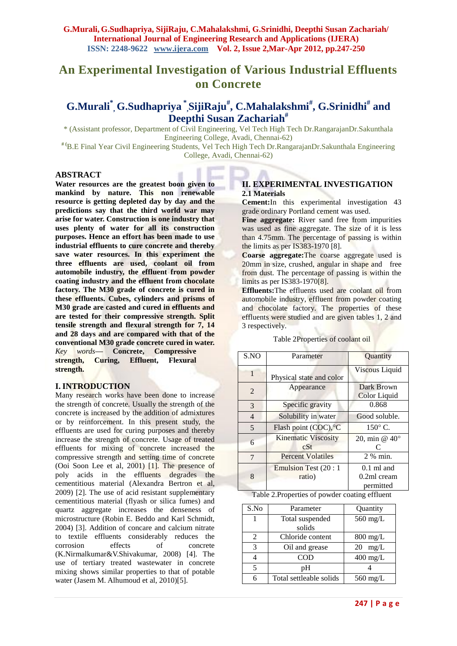# **An Experimental Investigation of Various Industrial Effluents on Concrete**

## **G.Murali\* , G.Sudhapriya \* ,SijiRaju# , C.Mahalakshmi# , G.Srinidhi# and Deepthi Susan Zachariah#**

\* (Assistant professor, Department of Civil Engineering, Vel Tech High Tech Dr.RangarajanDr.Sakunthala Engineering College, Avadi, Chennai-62)

**# (**B.E Final Year Civil Engineering Students, Vel Tech High Tech Dr.RangarajanDr.Sakunthala Engineering College, Avadi, Chennai-62)

#### **ABSTRACT**

**Water resources are the greatest boon given to mankind by nature. This non renewable resource is getting depleted day by day and the predictions say that the third world war may arise for water. Construction is one industry that uses plenty of water for all its construction purposes. Hence an effort has been made to use industrial effluents to cure concrete and thereby save water resources. In this experiment the three effluents are used, coolant oil from automobile industry, the effluent from powder coating industry and the effluent from chocolate factory. The M30 grade of concrete is cured in these effluents. Cubes, cylinders and prisms of M30 grade are casted and cured in effluents and are tested for their compressive strength. Split tensile strength and flexural strength for 7, 14 and 28 days and are compared with that of the conventional M30 grade concrete cured in water.** *Key words***— Concrete, Compressive strength, Curing, Effluent, Flexural strength.**

#### **I. INTRODUCTION**

Many research works have been done to increase the strength of concrete. Usually the strength of the concrete is increased by the addition of admixtures or by reinforcement. In this present study, the effluents are used for curing purposes and thereby increase the strength of concrete. Usage of treated effluents for mixing of concrete increased the compressive strength and setting time of concrete (Ooi Soon Lee et al, 2001) [1]. The presence of poly acids in the effluents degrades the cementitious material (Alexandra Bertron et al, 2009) [2]. The use of acid resistant supplementary cementitious material (flyash or silica fumes) and quartz aggregate increases the denseness of microstructure (Robin E. Beddo and Karl Schmidt, 2004) [3]. Addition of concare and calcium nitrate to textile effluents considerably reduces the corrosion effects of concrete (K.Nirmalkumar&V.Shivakumar, 2008) [4]. The use of tertiary treated wastewater in concrete mixing shows similar properties to that of potable water (Jasem M. Alhumoud et al, 2010)[5].

### **II. EXPERIMENTAL INVESTIGATION 2.1 Materials**

**Cement:**In this experimental investigation 43 grade ordinary Portland cement was used.

**Fine aggregate:** River sand free from impurities was used as fine aggregate. The size of it is less than 4.75mm. The percentage of passing is within the limits as per IS383-1970 [8].

**Coarse aggregate:**The coarse aggregate used is 20mm in size, crushed, angular in shape and free from dust. The percentage of passing is within the limits as per IS383-1970[8].

**Effluents:**The effluents used are coolant oil from automobile industry, effluent from powder coating and chocolate factory. The properties of these effluents were studied and are given tables 1, 2 and 3 respectively.

| Table 2Properties of coolant oil |  |  |
|----------------------------------|--|--|
|                                  |  |  |

| S.NO           | Parameter                         | Quantity                      |
|----------------|-----------------------------------|-------------------------------|
| 1              | Physical state and color          | Viscous Liquid                |
| 2              | Appearance                        | Dark Brown<br>Color Liquid    |
| 3              | Specific gravity                  | 0.868                         |
| $\overline{4}$ | Solubility in water               | Good soluble.                 |
| 5              | Flash point (COC), °C             | $150^{\circ}$ C.              |
| 6              | <b>Kinematic Viscosity</b><br>cSt | 20, min @ $40^{\circ}$<br>C   |
| 7              | <b>Percent Volatiles</b>          | 2 % min.                      |
| 8              | Emulsion Test (20 : 1)<br>ratio)  | $0.1$ ml and<br>$0.2ml$ cream |
|                |                                   | permitted                     |

Table 2.Properties of powder coating effluent

| S.No | Parameter               | Quantity           |
|------|-------------------------|--------------------|
|      | Total suspended         | $560$ mg/L         |
|      | solids                  |                    |
| 2    | Chloride content        | $800 \text{ mg/L}$ |
| 3    | Oil and grease          | mg/L<br>20         |
|      | COD                     | $400$ mg/L         |
| 5    | pH                      |                    |
|      | Total settleable solids | $560 \text{ mg/L}$ |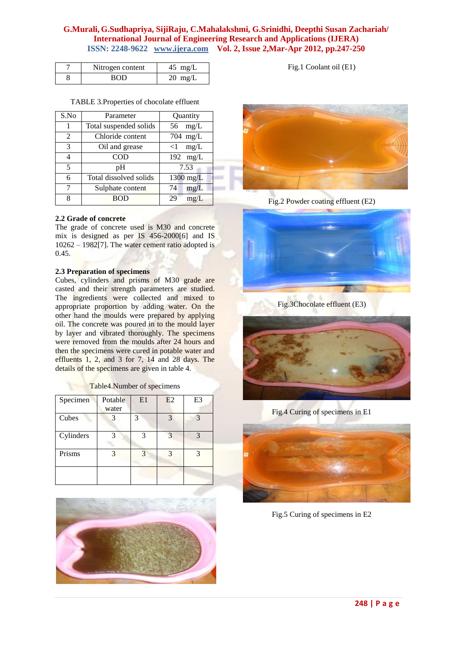## **G.Murali, G.Sudhapriya, SijiRaju, C.Mahalakshmi, G.Srinidhi, Deepthi Susan Zachariah/ International Journal of Engineering Research and Applications (IJERA) ISSN: 2248-9622 www.ijera.com Vol. 2, Issue 2,Mar-Apr 2012, pp.247-250**

| Nitrogen content | $45$ mg/L         |
|------------------|-------------------|
| ROE              | $20 \text{ mg/L}$ |

TABLE 3.Properties of chocolate effluent

| S.No | Parameter              | Quantity           |
|------|------------------------|--------------------|
|      | Total suspended solids | mg/L<br>56         |
| 2    | Chloride content       | $704$ mg/L         |
| 3    | Oil and grease         | mg/L<br>$<$ 1      |
| 4    | COD                    | $192 \text{ mg/L}$ |
| 5    | pH                     | 7.53               |
| 6    | Total dissolved solids | $1300$ mg/L        |
| 7    | Sulphate content       | mg/L<br>74         |
| 8    |                        | 29<br>mg/L         |

#### **2.2 Grade of concrete**

The grade of concrete used is M30 and concrete mix is designed as per IS 456-2000[6] and IS  $10262 - 1982[7]$ . The water cement ratio adopted is 0.45.

#### **2.3 Preparation of specimens**

Cubes, cylinders and prisms of M30 grade are casted and their strength parameters are studied. The ingredients were collected and mixed to appropriate proportion by adding water. On the other hand the moulds were prepared by applying oil. The concrete was poured in to the mould layer by layer and vibrated thoroughly. The specimens were removed from the moulds after 24 hours and then the specimens were cured in potable water and effluents 1, 2, and 3 for 7, 14 and 28 days. The details of the specimens are given in table 4.

| Specimen  | Potable | E1 | E2            | E <sub>3</sub> |
|-----------|---------|----|---------------|----------------|
|           | water   |    |               |                |
| Cubes     | 3       | 3  | $\mathcal{R}$ |                |
| Cylinders |         | 3  | $\mathcal{R}$ |                |
| Prisms    |         | 3  | 3             | $\mathbf{R}$   |
|           |         |    |               |                |

Table4.Number of specimens





Fig.1 Coolant oil (E1)

Fig.2 Powder coating effluent (E2)



Fig.3Chocolate effluent (E3)



Fig.4 Curing of specimens in E1



Fig.5 Curing of specimens in E2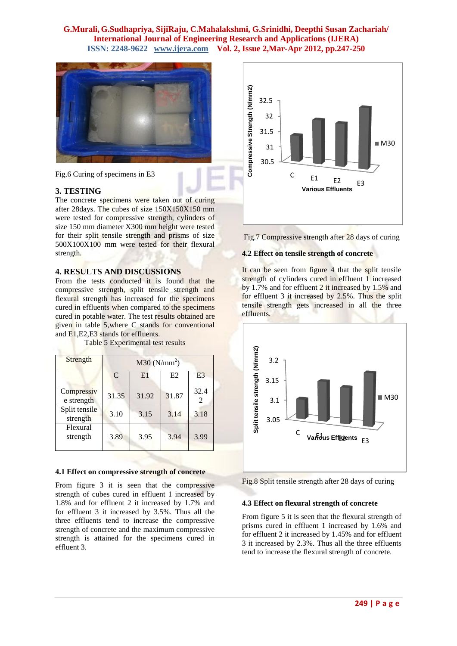## **G.Murali, G.Sudhapriya, SijiRaju, C.Mahalakshmi, G.Srinidhi, Deepthi Susan Zachariah/ International Journal of Engineering Research and Applications (IJERA) ISSN: 2248-9622 www.ijera.com Vol. 2, Issue 2,Mar-Apr 2012, pp.247-250**



Fig.6 Curing of specimens in E3

#### **3. TESTING**

The concrete specimens were taken out of curing after 28days. The cubes of size 150X150X150 mm were tested for compressive strength, cylinders of size 150 mm diameter X300 mm height were tested for their split tensile strength and prisms of size 500X100X100 mm were tested for their flexural strength.

#### **4. RESULTS AND DISCUSSIONS**

From the tests conducted it is found that the compressive strength, split tensile strength and flexural strength has increased for the specimens cured in effluents when compared to the specimens cured in potable water. The test results obtained are given in table 5,where C stands for conventional and E1,E2,E3 stands for effluents.

Table 5 Experimental test results

| Strength                  | $M30$ (N/mm <sup>2</sup> ) |       |       |                |
|---------------------------|----------------------------|-------|-------|----------------|
|                           | $\mathcal{C}$              | E1    | E2    | E <sub>3</sub> |
| Compressiv<br>e strength  | 31.35                      | 31.92 | 31.87 | 32.4<br>2      |
| Split tensile<br>strength | 3.10                       | 3.15  | 3.14  | 3.18           |
| Flexural<br>strength      | 3.89                       | 3.95  | 3.94  | 3.99           |

#### **4.1 Effect on compressive strength of concrete**

From figure 3 it is seen that the compressive strength of cubes cured in effluent 1 increased by 1.8% and for effluent 2 it increased by 1.7% and for effluent 3 it increased by 3.5%. Thus all the three effluents tend to increase the compressive strength of concrete and the maximum compressive strength is attained for the specimens cured in effluent 3.



Fig.7 Compressive strength after 28 days of curing

#### **4.2 Effect on tensile strength of concrete**

It can be seen from figure 4 that the split tensile strength of cylinders cured in effluent 1 increased by 1.7% and for effluent 2 it increased by 1.5% and for effluent 3 it increased by 2.5%. Thus the split tensile strength gets increased in all the three effluents.



Fig.8 Split tensile strength after 28 days of curing

#### **4.3 Effect on flexural strength of concrete**

From figure 5 it is seen that the flexural strength of prisms cured in effluent 1 increased by 1.6% and for effluent 2 it increased by 1.45% and for effluent 3 it increased by 2.3%. Thus all the three effluents tend to increase the flexural strength of concrete.